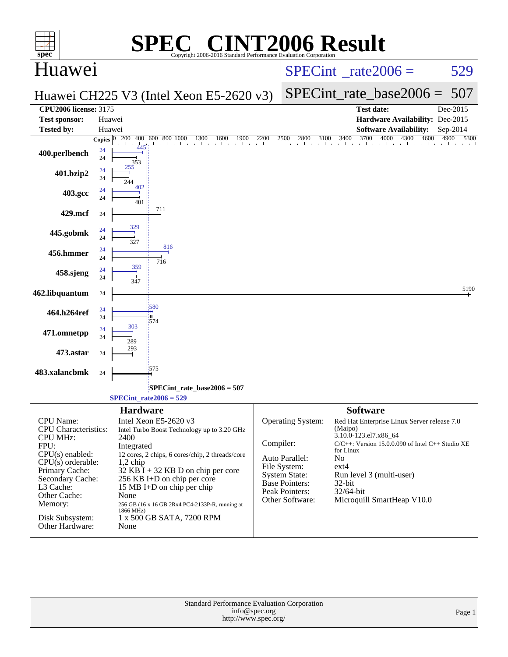| $\mathbf{spec}^*$                                                                                                                                     | $\bigcap$<br>SPE<br>Copyright 2006-2016 Standard Performance Evaluation Cornoration                                                                                                                                                |           |                                                                             | <b>INT2006 Result</b>                                                                                                                                                                               |              |
|-------------------------------------------------------------------------------------------------------------------------------------------------------|------------------------------------------------------------------------------------------------------------------------------------------------------------------------------------------------------------------------------------|-----------|-----------------------------------------------------------------------------|-----------------------------------------------------------------------------------------------------------------------------------------------------------------------------------------------------|--------------|
| Huawei                                                                                                                                                |                                                                                                                                                                                                                                    |           |                                                                             | $SPECint^{\circ}$ rate $2006 =$                                                                                                                                                                     | 529          |
|                                                                                                                                                       | Huawei CH225 V3 (Intel Xeon E5-2620 v3)                                                                                                                                                                                            |           |                                                                             | $SPECint_rate_base2006 =$                                                                                                                                                                           | 507          |
| <b>CPU2006 license: 3175</b>                                                                                                                          |                                                                                                                                                                                                                                    |           |                                                                             | <b>Test date:</b>                                                                                                                                                                                   | Dec-2015     |
| <b>Test sponsor:</b><br><b>Tested by:</b>                                                                                                             | Huawei<br>Huawei                                                                                                                                                                                                                   |           |                                                                             | Hardware Availability: Dec-2015<br><b>Software Availability:</b>                                                                                                                                    | Sep-2014     |
|                                                                                                                                                       | Copies $ 0 $ 200 400<br>600 800 1000<br>1300<br>1900<br>1600                                                                                                                                                                       | 2200      | $\frac{10}{1}$ 2500 2800 3100 3400                                          | 3700<br>4000<br>4300<br>4600                                                                                                                                                                        | 4900<br>5300 |
| 400.perlbench                                                                                                                                         | 24<br>24                                                                                                                                                                                                                           |           |                                                                             |                                                                                                                                                                                                     |              |
| 401.bzip2                                                                                                                                             | 24<br>24                                                                                                                                                                                                                           |           |                                                                             |                                                                                                                                                                                                     |              |
| 403.gcc                                                                                                                                               | 402<br>24<br>24<br>401                                                                                                                                                                                                             |           |                                                                             |                                                                                                                                                                                                     |              |
| 429.mcf                                                                                                                                               | 711<br>24                                                                                                                                                                                                                          |           |                                                                             |                                                                                                                                                                                                     |              |
| 445.gobmk                                                                                                                                             | 329<br>24<br>24<br>327                                                                                                                                                                                                             |           |                                                                             |                                                                                                                                                                                                     |              |
| 456.hmmer                                                                                                                                             | 816<br>24<br>24<br>716                                                                                                                                                                                                             |           |                                                                             |                                                                                                                                                                                                     |              |
| 458.sjeng                                                                                                                                             | 359<br>24<br>24<br>347                                                                                                                                                                                                             |           |                                                                             |                                                                                                                                                                                                     |              |
| 462.libquantum                                                                                                                                        | 24                                                                                                                                                                                                                                 |           |                                                                             |                                                                                                                                                                                                     | 5190         |
| 464.h264ref                                                                                                                                           | 580<br>24<br>24<br>574                                                                                                                                                                                                             |           |                                                                             |                                                                                                                                                                                                     |              |
| 471.omnetpp                                                                                                                                           | 303<br>24<br>24<br>289                                                                                                                                                                                                             |           |                                                                             |                                                                                                                                                                                                     |              |
| 473.astar                                                                                                                                             | 24                                                                                                                                                                                                                                 |           |                                                                             |                                                                                                                                                                                                     |              |
| 483.xalancbmk                                                                                                                                         | 575<br>24                                                                                                                                                                                                                          |           |                                                                             |                                                                                                                                                                                                     |              |
|                                                                                                                                                       | $SPECint$ rate_base2006 = 507<br>$SPECint rate2006 = 529$                                                                                                                                                                          |           |                                                                             |                                                                                                                                                                                                     |              |
|                                                                                                                                                       | <b>Hardware</b>                                                                                                                                                                                                                    |           |                                                                             | <b>Software</b>                                                                                                                                                                                     |              |
| CPU Name:<br><b>CPU</b> Characteristics:<br><b>CPU MHz:</b><br>FPU:<br>$CPU(s)$ enabled:<br>$CPU(s)$ orderable:<br>Primary Cache:<br>Secondary Cache: | Intel Xeon E5-2620 v3<br>Intel Turbo Boost Technology up to 3.20 GHz<br>2400<br>Integrated<br>12 cores, 2 chips, 6 cores/chip, 2 threads/core<br>$1,2$ chip<br>$32$ KB I + 32 KB D on chip per core<br>256 KB I+D on chip per core | Compiler: | Operating System:<br>Auto Parallel:<br>File System:<br><b>System State:</b> | Red Hat Enterprise Linux Server release 7.0<br>(Maipo)<br>3.10.0-123.el7.x86_64<br>$C/C++$ : Version 15.0.0.090 of Intel $C++$ Studio XE<br>for Linux<br>No<br>$ext{4}$<br>Run level 3 (multi-user) |              |
| L3 Cache:<br>Other Cache:<br>Memory:                                                                                                                  | 15 MB I+D on chip per chip<br>None<br>256 GB (16 x 16 GB 2Rx4 PC4-2133P-R, running at<br>1866 MHz)                                                                                                                                 |           | <b>Base Pointers:</b><br>Peak Pointers:<br>Other Software:                  | $32$ -bit<br>32/64-bit<br>Microquill SmartHeap V10.0                                                                                                                                                |              |
| Disk Subsystem:<br>Other Hardware:                                                                                                                    | 1 x 500 GB SATA, 7200 RPM<br>None                                                                                                                                                                                                  |           |                                                                             |                                                                                                                                                                                                     |              |
|                                                                                                                                                       | Standard Performance Evaluation Corporation<br>info@spec.org                                                                                                                                                                       |           |                                                                             |                                                                                                                                                                                                     | Page 1       |
|                                                                                                                                                       | http://www.spec.org/                                                                                                                                                                                                               |           |                                                                             |                                                                                                                                                                                                     |              |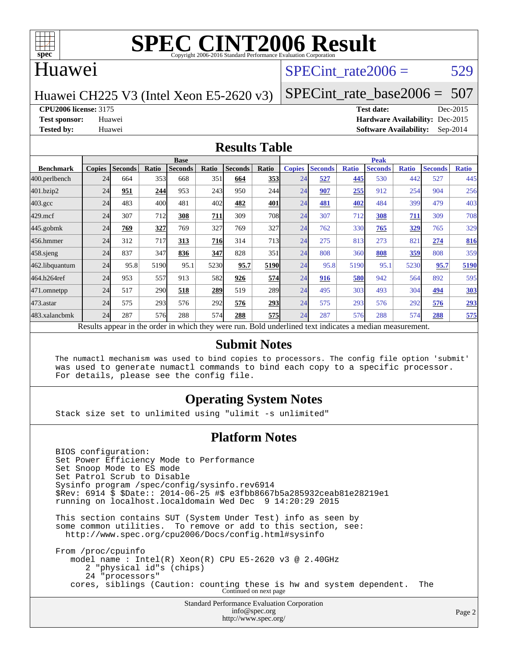

### Huawei

### SPECint rate $2006 = 529$

Huawei CH225 V3 (Intel Xeon E5-2620 v3)

[SPECint\\_rate\\_base2006 =](http://www.spec.org/auto/cpu2006/Docs/result-fields.html#SPECintratebase2006) 507

**[CPU2006 license:](http://www.spec.org/auto/cpu2006/Docs/result-fields.html#CPU2006license)** 3175 **[Test date:](http://www.spec.org/auto/cpu2006/Docs/result-fields.html#Testdate)** Dec-2015

**[Test sponsor:](http://www.spec.org/auto/cpu2006/Docs/result-fields.html#Testsponsor)** Huawei **[Hardware Availability:](http://www.spec.org/auto/cpu2006/Docs/result-fields.html#HardwareAvailability)** Dec-2015 **[Tested by:](http://www.spec.org/auto/cpu2006/Docs/result-fields.html#Testedby)** Huawei **[Software Availability:](http://www.spec.org/auto/cpu2006/Docs/result-fields.html#SoftwareAvailability)** Sep-2014

#### **[Results Table](http://www.spec.org/auto/cpu2006/Docs/result-fields.html#ResultsTable)**

|                    |                                                                                                          | <b>Base</b><br><b>Peak</b> |       |                |       |                |            |               |                |              |                |              |                |              |
|--------------------|----------------------------------------------------------------------------------------------------------|----------------------------|-------|----------------|-------|----------------|------------|---------------|----------------|--------------|----------------|--------------|----------------|--------------|
| <b>Benchmark</b>   | <b>Copies</b>                                                                                            | <b>Seconds</b>             | Ratio | <b>Seconds</b> | Ratio | <b>Seconds</b> | Ratio      | <b>Copies</b> | <b>Seconds</b> | <b>Ratio</b> | <b>Seconds</b> | <b>Ratio</b> | <b>Seconds</b> | <b>Ratio</b> |
| 400.perlbench      | 24                                                                                                       | 664                        | 353   | 668            | 351   | 664            | 353        | 24            | 527            | 445          | 530            | 442          | 527            | 445          |
| 401.bzip2          | 24                                                                                                       | 951                        | 244   | 953            | 243   | 950            | 244        | 24            | 907            | 255          | 912            | 254          | 904            | 256          |
| $403.\mathrm{gcc}$ | 24                                                                                                       | 483                        | 400   | 481            | 402   | 482            | 401        | 24            | 481            | 402          | 484            | 399          | 479            | 403          |
| $429$ .mcf         | 24                                                                                                       | 307                        | 712   | 308            | 711   | 309            | <b>708</b> | 24            | 307            | 712          | 308            | 711          | 309            | 708          |
| $445$ .gobmk       | 24                                                                                                       | 769                        | 327   | 769            | 327   | 769            | 327        | 24            | 762            | 330          | 765            | 329          | 765            | 329          |
| 456.hmmer          | 24                                                                                                       | 312                        | 717   | 313            | 716   | 314            | 713        | 24            | 275            | 813          | 273            | 82           | 274            | 816          |
| $458$ .sjeng       | 24                                                                                                       | 837                        | 347   | 836            | 347   | 828            | 351        | 24            | 808            | 360          | 808            | 359          | 808            | 359          |
| 462.libquantum     | 24                                                                                                       | 95.8                       | 5190  | 95.1           | 5230  | 95.7           | 5190       | 24            | 95.8           | 5190         | 95.1           | 5230         | 95.7           | 5190         |
| 464.h264ref        | 24                                                                                                       | 953                        | 557   | 913            | 582   | 926            | 574        | 24            | 916            | 580          | 942            | 564          | 892            | 595          |
| 471.omnetpp        | 24                                                                                                       | 517                        | 290   | 518            | 289   | 519            | 289        | 24            | 495            | 303          | 493            | 304          | 494            | 303          |
| 473.astar          | 24                                                                                                       | 575                        | 293   | 576            | 292   | 576            | 293        | 24            | 575            | 293          | 576            | 292          | 576            | 293          |
| 483.xalancbmk      | 24                                                                                                       | 287                        | 576   | 288            | 574   | 288            | 575        | 24            | 287            | 576          | 288            | 574          | 288            | 575          |
|                    | Results appear in the order in which they were run. Bold underlined text indicates a median measurement. |                            |       |                |       |                |            |               |                |              |                |              |                |              |

#### **[Submit Notes](http://www.spec.org/auto/cpu2006/Docs/result-fields.html#SubmitNotes)**

 The numactl mechanism was used to bind copies to processors. The config file option 'submit' was used to generate numactl commands to bind each copy to a specific processor. For details, please see the config file.

### **[Operating System Notes](http://www.spec.org/auto/cpu2006/Docs/result-fields.html#OperatingSystemNotes)**

Stack size set to unlimited using "ulimit -s unlimited"

#### **[Platform Notes](http://www.spec.org/auto/cpu2006/Docs/result-fields.html#PlatformNotes)**

Standard Performance Evaluation Corporation [info@spec.org](mailto:info@spec.org) BIOS configuration: Set Power Efficiency Mode to Performance Set Snoop Mode to ES mode Set Patrol Scrub to Disable Sysinfo program /spec/config/sysinfo.rev6914 \$Rev: 6914 \$ \$Date:: 2014-06-25 #\$ e3fbb8667b5a285932ceab81e28219e1 running on localhost.localdomain Wed Dec 9 14:20:29 2015 This section contains SUT (System Under Test) info as seen by some common utilities. To remove or add to this section, see: <http://www.spec.org/cpu2006/Docs/config.html#sysinfo> From /proc/cpuinfo model name : Intel(R) Xeon(R) CPU E5-2620 v3 @ 2.40GHz 2 "physical id"s (chips) 24 "processors" cores, siblings (Caution: counting these is hw and system dependent. The Continued on next page

<http://www.spec.org/>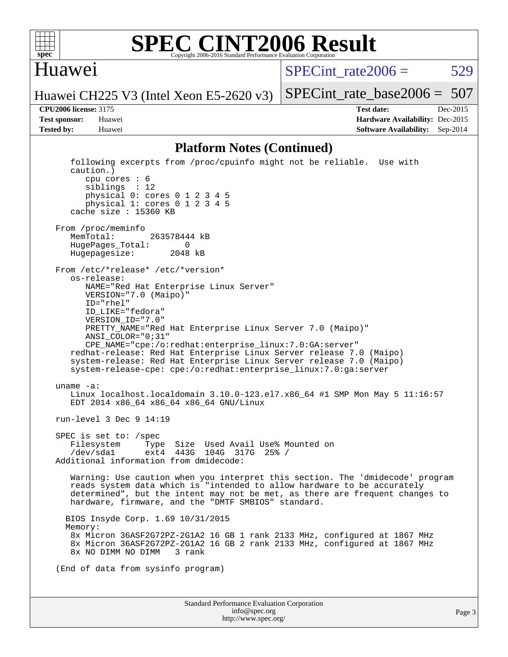

### **[SPEC CINT2006 Result](http://www.spec.org/auto/cpu2006/Docs/result-fields.html#SPECCINT2006Result)** Copyright 2006-2016 Standard Performance Evaluation Co

### Huawei

 $SPECint rate2006 = 529$ 

[SPECint\\_rate\\_base2006 =](http://www.spec.org/auto/cpu2006/Docs/result-fields.html#SPECintratebase2006) 507

Huawei CH225 V3 (Intel Xeon E5-2620 v3)

**[CPU2006 license:](http://www.spec.org/auto/cpu2006/Docs/result-fields.html#CPU2006license)** 3175 **[Test date:](http://www.spec.org/auto/cpu2006/Docs/result-fields.html#Testdate)** Dec-2015 **[Test sponsor:](http://www.spec.org/auto/cpu2006/Docs/result-fields.html#Testsponsor)** Huawei **[Hardware Availability:](http://www.spec.org/auto/cpu2006/Docs/result-fields.html#HardwareAvailability)** Dec-2015 **[Tested by:](http://www.spec.org/auto/cpu2006/Docs/result-fields.html#Testedby)** Huawei **[Software Availability:](http://www.spec.org/auto/cpu2006/Docs/result-fields.html#SoftwareAvailability)** Sep-2014

#### **[Platform Notes \(Continued\)](http://www.spec.org/auto/cpu2006/Docs/result-fields.html#PlatformNotes)**

Standard Performance Evaluation Corporation [info@spec.org](mailto:info@spec.org) following excerpts from /proc/cpuinfo might not be reliable. Use with caution.) cpu cores : 6 siblings : 12 physical 0: cores 0 1 2 3 4 5 physical 1: cores 0 1 2 3 4 5 cache size : 15360 KB From /proc/meminfo MemTotal: 263578444 kB<br>HugePages Total: 0 HugePages\_Total: 0 Hugepagesize: 2048 kB From /etc/\*release\* /etc/\*version\* os-release: NAME="Red Hat Enterprise Linux Server" VERSION="7.0 (Maipo)" ID="rhel" ID\_LIKE="fedora" VERSION\_ID="7.0" PRETTY\_NAME="Red Hat Enterprise Linux Server 7.0 (Maipo)" ANSI\_COLOR="0;31" CPE\_NAME="cpe:/o:redhat:enterprise\_linux:7.0:GA:server" redhat-release: Red Hat Enterprise Linux Server release 7.0 (Maipo) system-release: Red Hat Enterprise Linux Server release 7.0 (Maipo) system-release-cpe: cpe:/o:redhat:enterprise\_linux:7.0:ga:server uname -a: Linux localhost.localdomain 3.10.0-123.el7.x86\_64 #1 SMP Mon May 5 11:16:57 EDT 2014 x86\_64 x86\_64 x86\_64 GNU/Linux run-level 3 Dec 9 14:19 SPEC is set to: /spec Filesystem Type Size Used Avail Use% Mounted on /dev/sda1 ext4 443G 104G 317G 25% / Additional information from dmidecode: Warning: Use caution when you interpret this section. The 'dmidecode' program reads system data which is "intended to allow hardware to be accurately determined", but the intent may not be met, as there are frequent changes to hardware, firmware, and the "DMTF SMBIOS" standard. BIOS Insyde Corp. 1.69 10/31/2015 Memory: 8x Micron 36ASF2G72PZ-2G1A2 16 GB 1 rank 2133 MHz, configured at 1867 MHz 8x Micron 36ASF2G72PZ-2G1A2 16 GB 2 rank 2133 MHz, configured at 1867 MHz 8x NO DIMM NO DIMM 3 rank (End of data from sysinfo program)

<http://www.spec.org/>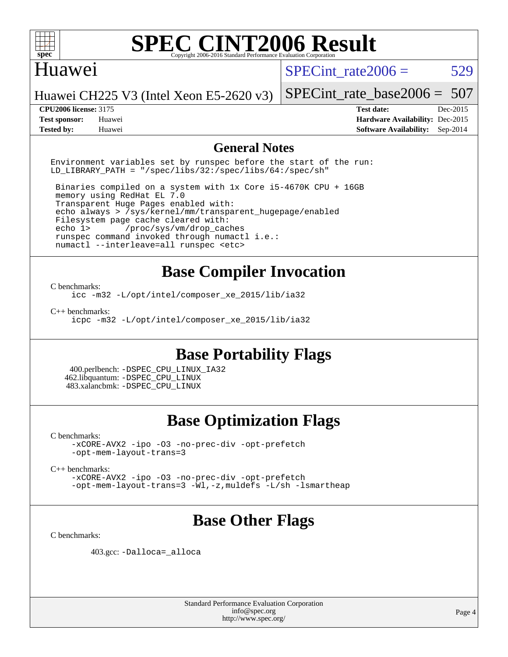

### Huawei

SPECint rate $2006 = 529$ 

Huawei CH225 V3 (Intel Xeon E5-2620 v3) [SPECint\\_rate\\_base2006 =](http://www.spec.org/auto/cpu2006/Docs/result-fields.html#SPECintratebase2006) 507

**[Tested by:](http://www.spec.org/auto/cpu2006/Docs/result-fields.html#Testedby)** Huawei **[Software Availability:](http://www.spec.org/auto/cpu2006/Docs/result-fields.html#SoftwareAvailability)** Sep-2014

**[CPU2006 license:](http://www.spec.org/auto/cpu2006/Docs/result-fields.html#CPU2006license)** 3175 **[Test date:](http://www.spec.org/auto/cpu2006/Docs/result-fields.html#Testdate)** Dec-2015 **[Test sponsor:](http://www.spec.org/auto/cpu2006/Docs/result-fields.html#Testsponsor)** Huawei **[Hardware Availability:](http://www.spec.org/auto/cpu2006/Docs/result-fields.html#HardwareAvailability)** Dec-2015

### **[General Notes](http://www.spec.org/auto/cpu2006/Docs/result-fields.html#GeneralNotes)**

Environment variables set by runspec before the start of the run: LD LIBRARY PATH = "/spec/libs/32:/spec/libs/64:/spec/sh"

 Binaries compiled on a system with 1x Core i5-4670K CPU + 16GB memory using RedHat EL 7.0 Transparent Huge Pages enabled with: echo always > /sys/kernel/mm/transparent\_hugepage/enabled Filesystem page cache cleared with: echo 1> /proc/sys/vm/drop\_caches runspec command invoked through numactl i.e.: numactl --interleave=all runspec <etc>

## **[Base Compiler Invocation](http://www.spec.org/auto/cpu2006/Docs/result-fields.html#BaseCompilerInvocation)**

#### [C benchmarks](http://www.spec.org/auto/cpu2006/Docs/result-fields.html#Cbenchmarks):

[icc -m32 -L/opt/intel/composer\\_xe\\_2015/lib/ia32](http://www.spec.org/cpu2006/results/res2016q1/cpu2006-20160107-38597.flags.html#user_CCbase_intel_icc_011b86df29f8c679b747245588698a4d)

[C++ benchmarks:](http://www.spec.org/auto/cpu2006/Docs/result-fields.html#CXXbenchmarks)

[icpc -m32 -L/opt/intel/composer\\_xe\\_2015/lib/ia32](http://www.spec.org/cpu2006/results/res2016q1/cpu2006-20160107-38597.flags.html#user_CXXbase_intel_icpc_c2c99686a1a582c3e0de0b4806b02cea)

### **[Base Portability Flags](http://www.spec.org/auto/cpu2006/Docs/result-fields.html#BasePortabilityFlags)**

 400.perlbench: [-DSPEC\\_CPU\\_LINUX\\_IA32](http://www.spec.org/cpu2006/results/res2016q1/cpu2006-20160107-38597.flags.html#b400.perlbench_baseCPORTABILITY_DSPEC_CPU_LINUX_IA32) 462.libquantum: [-DSPEC\\_CPU\\_LINUX](http://www.spec.org/cpu2006/results/res2016q1/cpu2006-20160107-38597.flags.html#b462.libquantum_baseCPORTABILITY_DSPEC_CPU_LINUX) 483.xalancbmk: [-DSPEC\\_CPU\\_LINUX](http://www.spec.org/cpu2006/results/res2016q1/cpu2006-20160107-38597.flags.html#b483.xalancbmk_baseCXXPORTABILITY_DSPEC_CPU_LINUX)

### **[Base Optimization Flags](http://www.spec.org/auto/cpu2006/Docs/result-fields.html#BaseOptimizationFlags)**

[C benchmarks](http://www.spec.org/auto/cpu2006/Docs/result-fields.html#Cbenchmarks):

[-xCORE-AVX2](http://www.spec.org/cpu2006/results/res2016q1/cpu2006-20160107-38597.flags.html#user_CCbase_f-xAVX2_5f5fc0cbe2c9f62c816d3e45806c70d7) [-ipo](http://www.spec.org/cpu2006/results/res2016q1/cpu2006-20160107-38597.flags.html#user_CCbase_f-ipo) [-O3](http://www.spec.org/cpu2006/results/res2016q1/cpu2006-20160107-38597.flags.html#user_CCbase_f-O3) [-no-prec-div](http://www.spec.org/cpu2006/results/res2016q1/cpu2006-20160107-38597.flags.html#user_CCbase_f-no-prec-div) [-opt-prefetch](http://www.spec.org/cpu2006/results/res2016q1/cpu2006-20160107-38597.flags.html#user_CCbase_f-opt-prefetch) [-opt-mem-layout-trans=3](http://www.spec.org/cpu2006/results/res2016q1/cpu2006-20160107-38597.flags.html#user_CCbase_f-opt-mem-layout-trans_a7b82ad4bd7abf52556d4961a2ae94d5)

[C++ benchmarks:](http://www.spec.org/auto/cpu2006/Docs/result-fields.html#CXXbenchmarks)

[-xCORE-AVX2](http://www.spec.org/cpu2006/results/res2016q1/cpu2006-20160107-38597.flags.html#user_CXXbase_f-xAVX2_5f5fc0cbe2c9f62c816d3e45806c70d7) [-ipo](http://www.spec.org/cpu2006/results/res2016q1/cpu2006-20160107-38597.flags.html#user_CXXbase_f-ipo) [-O3](http://www.spec.org/cpu2006/results/res2016q1/cpu2006-20160107-38597.flags.html#user_CXXbase_f-O3) [-no-prec-div](http://www.spec.org/cpu2006/results/res2016q1/cpu2006-20160107-38597.flags.html#user_CXXbase_f-no-prec-div) [-opt-prefetch](http://www.spec.org/cpu2006/results/res2016q1/cpu2006-20160107-38597.flags.html#user_CXXbase_f-opt-prefetch) [-opt-mem-layout-trans=3](http://www.spec.org/cpu2006/results/res2016q1/cpu2006-20160107-38597.flags.html#user_CXXbase_f-opt-mem-layout-trans_a7b82ad4bd7abf52556d4961a2ae94d5) [-Wl,-z,muldefs](http://www.spec.org/cpu2006/results/res2016q1/cpu2006-20160107-38597.flags.html#user_CXXbase_link_force_multiple1_74079c344b956b9658436fd1b6dd3a8a) [-L/sh -lsmartheap](http://www.spec.org/cpu2006/results/res2016q1/cpu2006-20160107-38597.flags.html#user_CXXbase_SmartHeap_32f6c82aa1ed9c52345d30cf6e4a0499)

### **[Base Other Flags](http://www.spec.org/auto/cpu2006/Docs/result-fields.html#BaseOtherFlags)**

[C benchmarks](http://www.spec.org/auto/cpu2006/Docs/result-fields.html#Cbenchmarks):

403.gcc: [-Dalloca=\\_alloca](http://www.spec.org/cpu2006/results/res2016q1/cpu2006-20160107-38597.flags.html#b403.gcc_baseEXTRA_CFLAGS_Dalloca_be3056838c12de2578596ca5467af7f3)

Standard Performance Evaluation Corporation [info@spec.org](mailto:info@spec.org) <http://www.spec.org/>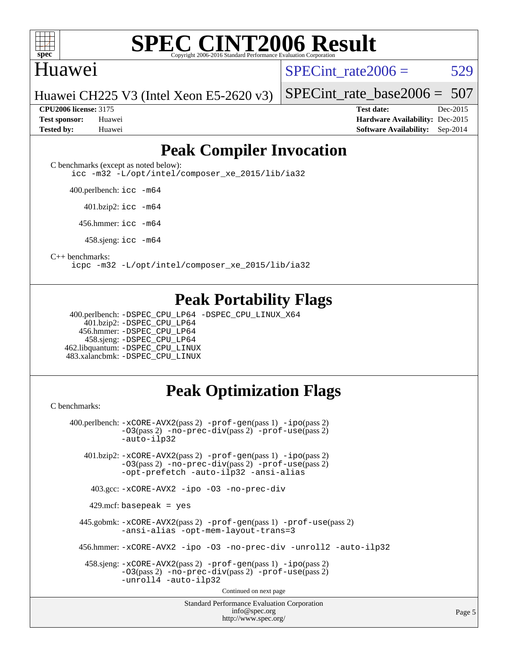

### Huawei

SPECint rate $2006 = 529$ 

[SPECint\\_rate\\_base2006 =](http://www.spec.org/auto/cpu2006/Docs/result-fields.html#SPECintratebase2006) 507

Huawei CH225 V3 (Intel Xeon E5-2620 v3)

**[CPU2006 license:](http://www.spec.org/auto/cpu2006/Docs/result-fields.html#CPU2006license)** 3175 **[Test date:](http://www.spec.org/auto/cpu2006/Docs/result-fields.html#Testdate)** Dec-2015 **[Test sponsor:](http://www.spec.org/auto/cpu2006/Docs/result-fields.html#Testsponsor)** Huawei **[Hardware Availability:](http://www.spec.org/auto/cpu2006/Docs/result-fields.html#HardwareAvailability)** Dec-2015 **[Tested by:](http://www.spec.org/auto/cpu2006/Docs/result-fields.html#Testedby)** Huawei **[Software Availability:](http://www.spec.org/auto/cpu2006/Docs/result-fields.html#SoftwareAvailability)** Sep-2014

## **[Peak Compiler Invocation](http://www.spec.org/auto/cpu2006/Docs/result-fields.html#PeakCompilerInvocation)**

[C benchmarks \(except as noted below\)](http://www.spec.org/auto/cpu2006/Docs/result-fields.html#Cbenchmarksexceptasnotedbelow):

[icc -m32 -L/opt/intel/composer\\_xe\\_2015/lib/ia32](http://www.spec.org/cpu2006/results/res2016q1/cpu2006-20160107-38597.flags.html#user_CCpeak_intel_icc_011b86df29f8c679b747245588698a4d)

400.perlbench: [icc -m64](http://www.spec.org/cpu2006/results/res2016q1/cpu2006-20160107-38597.flags.html#user_peakCCLD400_perlbench_intel_icc_64bit_bda6cc9af1fdbb0edc3795bac97ada53)

401.bzip2: [icc -m64](http://www.spec.org/cpu2006/results/res2016q1/cpu2006-20160107-38597.flags.html#user_peakCCLD401_bzip2_intel_icc_64bit_bda6cc9af1fdbb0edc3795bac97ada53)

456.hmmer: [icc -m64](http://www.spec.org/cpu2006/results/res2016q1/cpu2006-20160107-38597.flags.html#user_peakCCLD456_hmmer_intel_icc_64bit_bda6cc9af1fdbb0edc3795bac97ada53)

458.sjeng: [icc -m64](http://www.spec.org/cpu2006/results/res2016q1/cpu2006-20160107-38597.flags.html#user_peakCCLD458_sjeng_intel_icc_64bit_bda6cc9af1fdbb0edc3795bac97ada53)

[C++ benchmarks:](http://www.spec.org/auto/cpu2006/Docs/result-fields.html#CXXbenchmarks)

[icpc -m32 -L/opt/intel/composer\\_xe\\_2015/lib/ia32](http://www.spec.org/cpu2006/results/res2016q1/cpu2006-20160107-38597.flags.html#user_CXXpeak_intel_icpc_c2c99686a1a582c3e0de0b4806b02cea)

### **[Peak Portability Flags](http://www.spec.org/auto/cpu2006/Docs/result-fields.html#PeakPortabilityFlags)**

 400.perlbench: [-DSPEC\\_CPU\\_LP64](http://www.spec.org/cpu2006/results/res2016q1/cpu2006-20160107-38597.flags.html#b400.perlbench_peakCPORTABILITY_DSPEC_CPU_LP64) [-DSPEC\\_CPU\\_LINUX\\_X64](http://www.spec.org/cpu2006/results/res2016q1/cpu2006-20160107-38597.flags.html#b400.perlbench_peakCPORTABILITY_DSPEC_CPU_LINUX_X64) 401.bzip2: [-DSPEC\\_CPU\\_LP64](http://www.spec.org/cpu2006/results/res2016q1/cpu2006-20160107-38597.flags.html#suite_peakCPORTABILITY401_bzip2_DSPEC_CPU_LP64) 456.hmmer: [-DSPEC\\_CPU\\_LP64](http://www.spec.org/cpu2006/results/res2016q1/cpu2006-20160107-38597.flags.html#suite_peakCPORTABILITY456_hmmer_DSPEC_CPU_LP64) 458.sjeng: [-DSPEC\\_CPU\\_LP64](http://www.spec.org/cpu2006/results/res2016q1/cpu2006-20160107-38597.flags.html#suite_peakCPORTABILITY458_sjeng_DSPEC_CPU_LP64) 462.libquantum: [-DSPEC\\_CPU\\_LINUX](http://www.spec.org/cpu2006/results/res2016q1/cpu2006-20160107-38597.flags.html#b462.libquantum_peakCPORTABILITY_DSPEC_CPU_LINUX) 483.xalancbmk: [-DSPEC\\_CPU\\_LINUX](http://www.spec.org/cpu2006/results/res2016q1/cpu2006-20160107-38597.flags.html#b483.xalancbmk_peakCXXPORTABILITY_DSPEC_CPU_LINUX)

### **[Peak Optimization Flags](http://www.spec.org/auto/cpu2006/Docs/result-fields.html#PeakOptimizationFlags)**

[C benchmarks](http://www.spec.org/auto/cpu2006/Docs/result-fields.html#Cbenchmarks):

Standard Performance Evaluation Corporation [info@spec.org](mailto:info@spec.org) 400.perlbench: [-xCORE-AVX2](http://www.spec.org/cpu2006/results/res2016q1/cpu2006-20160107-38597.flags.html#user_peakPASS2_CFLAGSPASS2_LDCFLAGS400_perlbench_f-xAVX2_5f5fc0cbe2c9f62c816d3e45806c70d7)(pass 2) [-prof-gen](http://www.spec.org/cpu2006/results/res2016q1/cpu2006-20160107-38597.flags.html#user_peakPASS1_CFLAGSPASS1_LDCFLAGS400_perlbench_prof_gen_e43856698f6ca7b7e442dfd80e94a8fc)(pass 1) [-ipo](http://www.spec.org/cpu2006/results/res2016q1/cpu2006-20160107-38597.flags.html#user_peakPASS2_CFLAGSPASS2_LDCFLAGS400_perlbench_f-ipo)(pass 2) [-O3](http://www.spec.org/cpu2006/results/res2016q1/cpu2006-20160107-38597.flags.html#user_peakPASS2_CFLAGSPASS2_LDCFLAGS400_perlbench_f-O3)(pass 2) [-no-prec-div](http://www.spec.org/cpu2006/results/res2016q1/cpu2006-20160107-38597.flags.html#user_peakPASS2_CFLAGSPASS2_LDCFLAGS400_perlbench_f-no-prec-div)(pass 2) [-prof-use](http://www.spec.org/cpu2006/results/res2016q1/cpu2006-20160107-38597.flags.html#user_peakPASS2_CFLAGSPASS2_LDCFLAGS400_perlbench_prof_use_bccf7792157ff70d64e32fe3e1250b55)(pass 2) [-auto-ilp32](http://www.spec.org/cpu2006/results/res2016q1/cpu2006-20160107-38597.flags.html#user_peakCOPTIMIZE400_perlbench_f-auto-ilp32) 401.bzip2: [-xCORE-AVX2](http://www.spec.org/cpu2006/results/res2016q1/cpu2006-20160107-38597.flags.html#user_peakPASS2_CFLAGSPASS2_LDCFLAGS401_bzip2_f-xAVX2_5f5fc0cbe2c9f62c816d3e45806c70d7)(pass 2) [-prof-gen](http://www.spec.org/cpu2006/results/res2016q1/cpu2006-20160107-38597.flags.html#user_peakPASS1_CFLAGSPASS1_LDCFLAGS401_bzip2_prof_gen_e43856698f6ca7b7e442dfd80e94a8fc)(pass 1) [-ipo](http://www.spec.org/cpu2006/results/res2016q1/cpu2006-20160107-38597.flags.html#user_peakPASS2_CFLAGSPASS2_LDCFLAGS401_bzip2_f-ipo)(pass 2) [-O3](http://www.spec.org/cpu2006/results/res2016q1/cpu2006-20160107-38597.flags.html#user_peakPASS2_CFLAGSPASS2_LDCFLAGS401_bzip2_f-O3)(pass 2) [-no-prec-div](http://www.spec.org/cpu2006/results/res2016q1/cpu2006-20160107-38597.flags.html#user_peakPASS2_CFLAGSPASS2_LDCFLAGS401_bzip2_f-no-prec-div)(pass 2) [-prof-use](http://www.spec.org/cpu2006/results/res2016q1/cpu2006-20160107-38597.flags.html#user_peakPASS2_CFLAGSPASS2_LDCFLAGS401_bzip2_prof_use_bccf7792157ff70d64e32fe3e1250b55)(pass 2) [-opt-prefetch](http://www.spec.org/cpu2006/results/res2016q1/cpu2006-20160107-38597.flags.html#user_peakCOPTIMIZE401_bzip2_f-opt-prefetch) [-auto-ilp32](http://www.spec.org/cpu2006/results/res2016q1/cpu2006-20160107-38597.flags.html#user_peakCOPTIMIZE401_bzip2_f-auto-ilp32) [-ansi-alias](http://www.spec.org/cpu2006/results/res2016q1/cpu2006-20160107-38597.flags.html#user_peakCOPTIMIZE401_bzip2_f-ansi-alias) 403.gcc: [-xCORE-AVX2](http://www.spec.org/cpu2006/results/res2016q1/cpu2006-20160107-38597.flags.html#user_peakCOPTIMIZE403_gcc_f-xAVX2_5f5fc0cbe2c9f62c816d3e45806c70d7) [-ipo](http://www.spec.org/cpu2006/results/res2016q1/cpu2006-20160107-38597.flags.html#user_peakCOPTIMIZE403_gcc_f-ipo) [-O3](http://www.spec.org/cpu2006/results/res2016q1/cpu2006-20160107-38597.flags.html#user_peakCOPTIMIZE403_gcc_f-O3) [-no-prec-div](http://www.spec.org/cpu2006/results/res2016q1/cpu2006-20160107-38597.flags.html#user_peakCOPTIMIZE403_gcc_f-no-prec-div) 429.mcf: basepeak = yes 445.gobmk: [-xCORE-AVX2](http://www.spec.org/cpu2006/results/res2016q1/cpu2006-20160107-38597.flags.html#user_peakPASS2_CFLAGSPASS2_LDCFLAGS445_gobmk_f-xAVX2_5f5fc0cbe2c9f62c816d3e45806c70d7)(pass 2) [-prof-gen](http://www.spec.org/cpu2006/results/res2016q1/cpu2006-20160107-38597.flags.html#user_peakPASS1_CFLAGSPASS1_LDCFLAGS445_gobmk_prof_gen_e43856698f6ca7b7e442dfd80e94a8fc)(pass 1) [-prof-use](http://www.spec.org/cpu2006/results/res2016q1/cpu2006-20160107-38597.flags.html#user_peakPASS2_CFLAGSPASS2_LDCFLAGS445_gobmk_prof_use_bccf7792157ff70d64e32fe3e1250b55)(pass 2) [-ansi-alias](http://www.spec.org/cpu2006/results/res2016q1/cpu2006-20160107-38597.flags.html#user_peakCOPTIMIZE445_gobmk_f-ansi-alias) [-opt-mem-layout-trans=3](http://www.spec.org/cpu2006/results/res2016q1/cpu2006-20160107-38597.flags.html#user_peakCOPTIMIZE445_gobmk_f-opt-mem-layout-trans_a7b82ad4bd7abf52556d4961a2ae94d5) 456.hmmer: [-xCORE-AVX2](http://www.spec.org/cpu2006/results/res2016q1/cpu2006-20160107-38597.flags.html#user_peakCOPTIMIZE456_hmmer_f-xAVX2_5f5fc0cbe2c9f62c816d3e45806c70d7) [-ipo](http://www.spec.org/cpu2006/results/res2016q1/cpu2006-20160107-38597.flags.html#user_peakCOPTIMIZE456_hmmer_f-ipo) [-O3](http://www.spec.org/cpu2006/results/res2016q1/cpu2006-20160107-38597.flags.html#user_peakCOPTIMIZE456_hmmer_f-O3) [-no-prec-div](http://www.spec.org/cpu2006/results/res2016q1/cpu2006-20160107-38597.flags.html#user_peakCOPTIMIZE456_hmmer_f-no-prec-div) [-unroll2](http://www.spec.org/cpu2006/results/res2016q1/cpu2006-20160107-38597.flags.html#user_peakCOPTIMIZE456_hmmer_f-unroll_784dae83bebfb236979b41d2422d7ec2) [-auto-ilp32](http://www.spec.org/cpu2006/results/res2016q1/cpu2006-20160107-38597.flags.html#user_peakCOPTIMIZE456_hmmer_f-auto-ilp32) 458.sjeng: [-xCORE-AVX2](http://www.spec.org/cpu2006/results/res2016q1/cpu2006-20160107-38597.flags.html#user_peakPASS2_CFLAGSPASS2_LDCFLAGS458_sjeng_f-xAVX2_5f5fc0cbe2c9f62c816d3e45806c70d7)(pass 2) [-prof-gen](http://www.spec.org/cpu2006/results/res2016q1/cpu2006-20160107-38597.flags.html#user_peakPASS1_CFLAGSPASS1_LDCFLAGS458_sjeng_prof_gen_e43856698f6ca7b7e442dfd80e94a8fc)(pass 1) [-ipo](http://www.spec.org/cpu2006/results/res2016q1/cpu2006-20160107-38597.flags.html#user_peakPASS2_CFLAGSPASS2_LDCFLAGS458_sjeng_f-ipo)(pass 2) [-O3](http://www.spec.org/cpu2006/results/res2016q1/cpu2006-20160107-38597.flags.html#user_peakPASS2_CFLAGSPASS2_LDCFLAGS458_sjeng_f-O3)(pass 2) [-no-prec-div](http://www.spec.org/cpu2006/results/res2016q1/cpu2006-20160107-38597.flags.html#user_peakPASS2_CFLAGSPASS2_LDCFLAGS458_sjeng_f-no-prec-div)(pass 2) [-prof-use](http://www.spec.org/cpu2006/results/res2016q1/cpu2006-20160107-38597.flags.html#user_peakPASS2_CFLAGSPASS2_LDCFLAGS458_sjeng_prof_use_bccf7792157ff70d64e32fe3e1250b55)(pass 2) [-unroll4](http://www.spec.org/cpu2006/results/res2016q1/cpu2006-20160107-38597.flags.html#user_peakCOPTIMIZE458_sjeng_f-unroll_4e5e4ed65b7fd20bdcd365bec371b81f) [-auto-ilp32](http://www.spec.org/cpu2006/results/res2016q1/cpu2006-20160107-38597.flags.html#user_peakCOPTIMIZE458_sjeng_f-auto-ilp32) Continued on next page

<http://www.spec.org/>